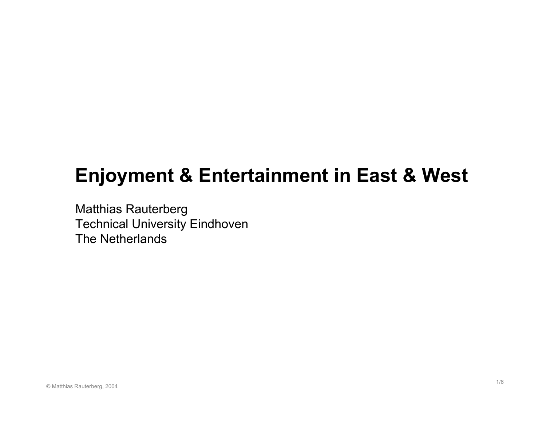# **Enjoyment & Entertainment in East & West**

Matthias Rauterberg Technical University Eindhoven The Netherlands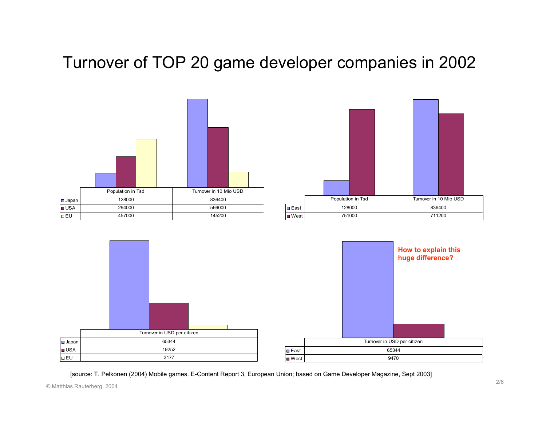## Turnover of TOP 20 game developer companies in 2002







[source: T. Pelkonen (2004) Mobile games. E-Content Report 3, European Union; based on Game Developer Magazine, Sept 2003]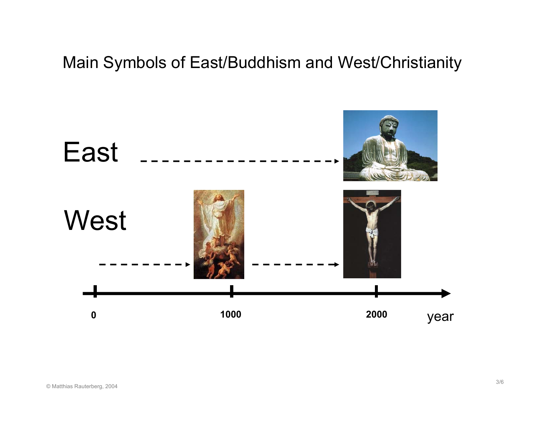## Main Symbols of East/Buddhism and West/Christianity

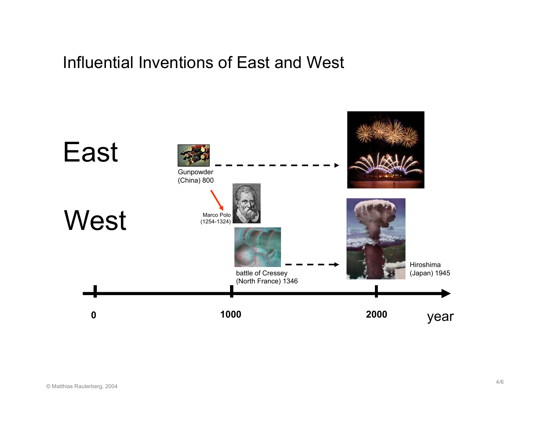#### Influential Inventions of East and West

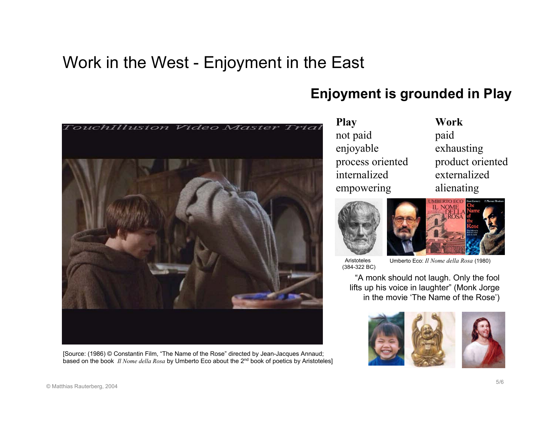## Work in the West - Enjoyment in the East



[Source: (1986) © Constantin Film, "The Name of the Rose" directed by Jean-Jacques Annaud; based on the book *Il Nome della Rosa* by Umberto Eco about the 2n<sup>d</sup> book of poetics by Aristoteles]

#### **Enjoyment is grounded in Play**

**Play Work** not paid paid enjoyable exhausting internalized externalizedempowering alienating

process oriented product oriented





Aristoteles(384-322 BC)

Umberto Eco: *Il Nome della Rosa* (1980)

"A monk should not laugh. Only the fool lifts up his voice in laughter" (Monk Jorge in the movie 'The Name of the Rose')